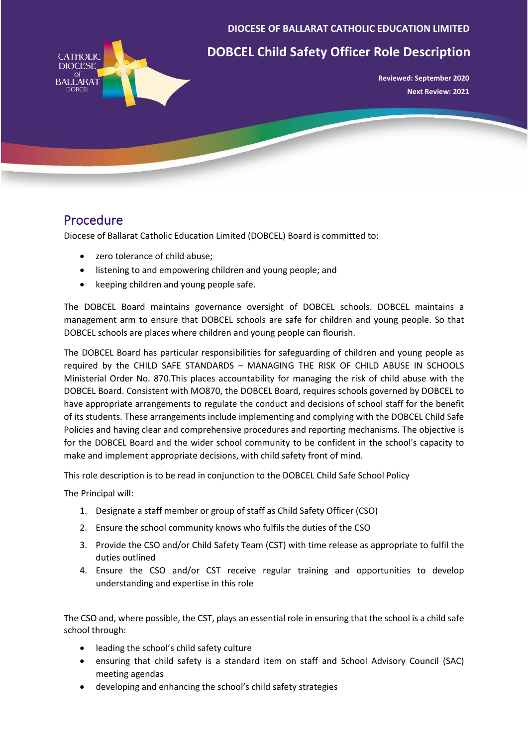**DIOCESE OF BALLARAT CATHOLIC EDUCATION LIMITED**



## **DOBCEL Child Safety Officer Role Description**

**Reviewed: September 2020 Next Review: 2021**

## Procedure

Diocese of Ballarat Catholic Education Limited (DOBCEL) Board is committed to:

- zero tolerance of child abuse:
- listening to and empowering children and young people; and
- keeping children and young people safe.

The DOBCEL Board maintains governance oversight of DOBCEL schools. DOBCEL maintains a management arm to ensure that DOBCEL schools are safe for children and young people. So that DOBCEL schools are places where children and young people can flourish.

The DOBCEL Board has particular responsibilities for safeguarding of children and young people as required by the CHILD SAFE STANDARDS – MANAGING THE RISK OF CHILD ABUSE IN SCHOOLS Ministerial Order No. 870.This places accountability for managing the risk of child abuse with the DOBCEL Board. Consistent with MO870, the DOBCEL Board, requires schools governed by DOBCEL to have appropriate arrangements to regulate the conduct and decisions of school staff for the benefit of its students. These arrangements include implementing and complying with the DOBCEL Child Safe Policies and having clear and comprehensive procedures and reporting mechanisms. The objective is for the DOBCEL Board and the wider school community to be confident in the school's capacity to make and implement appropriate decisions, with child safety front of mind.

This role description is to be read in conjunction to the DOBCEL Child Safe School Policy

The Principal will:

- 1. Designate a staff member or group of staff as Child Safety Officer (CSO)
- 2. Ensure the school community knows who fulfils the duties of the CSO
- 3. Provide the CSO and/or Child Safety Team (CST) with time release as appropriate to fulfil the duties outlined
- 4. Ensure the CSO and/or CST receive regular training and opportunities to develop understanding and expertise in this role

The CSO and, where possible, the CST, plays an essential role in ensuring that the school is a child safe school through:

- leading the school's child safety culture
- ensuring that child safety is a standard item on staff and School Advisory Council (SAC) meeting agendas
- developing and enhancing the school's child safety strategies